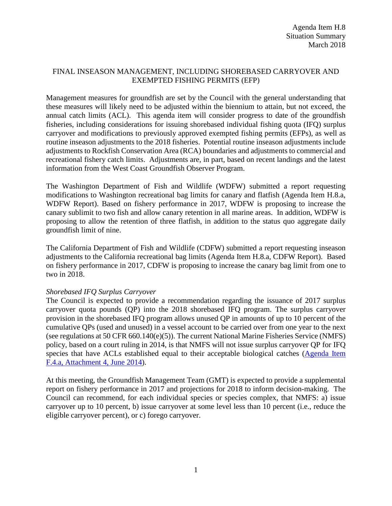# FINAL INSEASON MANAGEMENT, INCLUDING SHOREBASED CARRYOVER AND EXEMPTED FISHING PERMITS (EFP)

Management measures for groundfish are set by the Council with the general understanding that these measures will likely need to be adjusted within the biennium to attain, but not exceed, the annual catch limits (ACL). This agenda item will consider progress to date of the groundfish fisheries, including considerations for issuing shorebased individual fishing quota (IFQ) surplus carryover and modifications to previously approved exempted fishing permits (EFPs), as well as routine inseason adjustments to the 2018 fisheries. Potential routine inseason adjustments include adjustments to Rockfish Conservation Area (RCA) boundaries and adjustments to commercial and recreational fishery catch limits. Adjustments are, in part, based on recent landings and the latest information from the West Coast Groundfish Observer Program.

The Washington Department of Fish and Wildlife (WDFW) submitted a report requesting modifications to Washington recreational bag limits for canary and flatfish (Agenda Item H.8.a, WDFW Report). Based on fishery performance in 2017, WDFW is proposing to increase the canary sublimit to two fish and allow canary retention in all marine areas. In addition, WDFW is proposing to allow the retention of three flatfish, in addition to the status quo aggregate daily groundfish limit of nine.

The California Department of Fish and Wildlife (CDFW) submitted a report requesting inseason adjustments to the California recreational bag limits (Agenda Item H.8.a, CDFW Report). Based on fishery performance in 2017, CDFW is proposing to increase the canary bag limit from one to two in 2018.

### *Shorebased IFQ Surplus Carryover*

The Council is expected to provide a recommendation regarding the issuance of 2017 surplus carryover quota pounds (QP) into the 2018 shorebased IFQ program. The surplus carryover provision in the shorebased IFQ program allows unused QP in amounts of up to 10 percent of the cumulative QPs (used and unused) in a vessel account to be carried over from one year to the next (see regulations at 50 CFR 660.140(e)(5)). The current National Marine Fisheries Service (NMFS) policy, based on a court ruling in 2014, is that NMFS will not issue surplus carryover QP for IFQ species that have ACLs established equal to their acceptable biological catches [\(Agenda Item](http://www.pcouncil.org/wp-content/uploads/F4a_ATT4_Carryover_JUNE2014BB.pdf)  [F.4.a, Attachment 4, June 2014\)](http://www.pcouncil.org/wp-content/uploads/F4a_ATT4_Carryover_JUNE2014BB.pdf).

At this meeting, the Groundfish Management Team (GMT) is expected to provide a supplemental report on fishery performance in 2017 and projections for 2018 to inform decision-making. The Council can recommend, for each individual species or species complex, that NMFS: a) issue carryover up to 10 percent, b) issue carryover at some level less than 10 percent (i.e., reduce the eligible carryover percent), or c) forego carryover.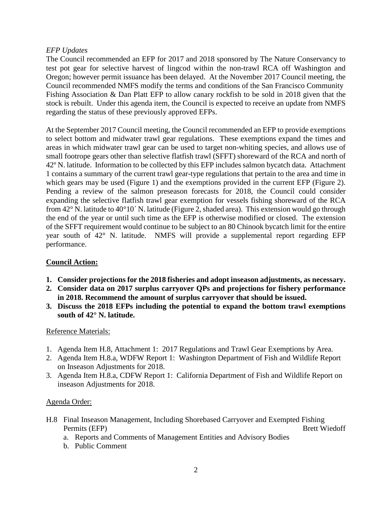### *EFP Updates*

The Council recommended an EFP for 2017 and 2018 sponsored by The Nature Conservancy to test pot gear for selective harvest of lingcod within the non-trawl RCA off Washington and Oregon; however permit issuance has been delayed. At the November 2017 Council meeting, the Council recommended NMFS modify the terms and conditions of the San Francisco Community Fishing Association & Dan Platt EFP to allow canary rockfish to be sold in 2018 given that the stock is rebuilt. Under this agenda item, the Council is expected to receive an update from NMFS regarding the status of these previously approved EFPs.

At the September 2017 Council meeting, the Council recommended an EFP to provide exemptions to select bottom and midwater trawl gear regulations. These exemptions expand the times and areas in which midwater trawl gear can be used to target non-whiting species, and allows use of small footrope gears other than selective flatfish trawl (SFFT) shoreward of the RCA and north of 42º N. latitude. Information to be collected by this EFP includes salmon bycatch data. Attachment 1 contains a summary of the current trawl gear-type regulations that pertain to the area and time in which gears may be used (Figure 1) and the exemptions provided in the current EFP (Figure 2). Pending a review of the salmon preseason forecasts for 2018, the Council could consider expanding the selective flatfish trawl gear exemption for vessels fishing shoreward of the RCA from 42° N. latitude to 40°10´ N. latitude (Figure 2, shaded area). This extension would go through the end of the year or until such time as the EFP is otherwise modified or closed. The extension of the SFFT requirement would continue to be subject to an 80 Chinook bycatch limit for the entire year south of 42° N. latitude. NMFS will provide a supplemental report regarding EFP performance.

# **Council Action:**

- **1. Consider projections for the 2018 fisheries and adopt inseason adjustments, as necessary.**
- **2. Consider data on 2017 surplus carryover QPs and projections for fishery performance in 2018. Recommend the amount of surplus carryover that should be issued.**
- **3. Discuss the 2018 EFPs including the potential to expand the bottom trawl exemptions south of 42° N. latitude.**

### Reference Materials:

- 1. Agenda Item H.8, Attachment 1: 2017 Regulations and Trawl Gear Exemptions by Area.
- 2. Agenda Item H.8.a, WDFW Report 1: Washington Department of Fish and Wildlife Report on Inseason Adjustments for 2018.
- 3. Agenda Item H.8.a, CDFW Report 1: California Department of Fish and Wildlife Report on inseason Adjustments for 2018.

### Agenda Order:

- H.8 Final Inseason Management, Including Shorebased Carryover and Exempted Fishing Permits (EFP) Brett Wiedoff
	- a. Reports and Comments of Management Entities and Advisory Bodies
	- b. Public Comment